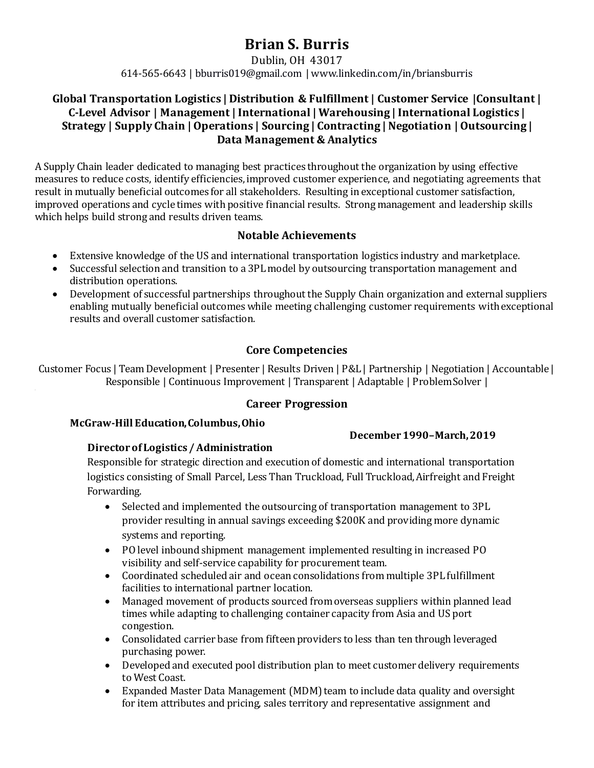# **Brian S. Burris**

Dublin, OH 43017

614-565-6643 | bburris019@gmail.com | www.linkedin.com/in/briansburris

### **Global Transportation Logistics | Distribution & Fulfillment | Customer Service |Consultant | C-Level Advisor | Management | International | Warehousing | International Logistics | Strategy | Supply Chain | Operations | Sourcing | Contracting | Negotiation | Outsourcing | Data Management & Analytics**

A Supply Chain leader dedicated to managing best practices throughout the organization by using effective measures to reduce costs, identify efficiencies, improved customer experience, and negotiating agreements that result in mutually beneficial outcomes for all stakeholders. Resulting in exceptional customer satisfaction, improved operations and cycle times with positive financial results. Strong management and leadership skills which helps build strong and results driven teams.

#### **Notable Achievements**

- Extensive knowledge of the US and international transportation logistics industry and marketplace.
- Successful selection and transition to a 3PL model by outsourcing transportation management and distribution operations.
- Development of successful partnerships throughout the Supply Chain organization and external suppliers enabling mutually beneficial outcomes while meeting challenging customer requirements with exceptional results and overall customer satisfaction.

# **Core Competencies**

Customer Focus | Team Development | Presenter | Results Driven | P&L | Partnership | Negotiation | Accountable | Responsible | Continuous Improvement | Transparent | Adaptable | Problem Solver |

### **Career Progression**

#### **McGraw-Hill Education, Columbus, Ohio**

#### **December 1990–March, 2019**

#### **Director of Logistics / Administration**

Responsible for strategic direction and execution of domestic and international transportation logistics consisting of Small Parcel, Less Than Truckload, Full Truckload, Airfreight and Freight Forwarding.

- Selected and implemented the outsourcing of transportation management to 3PL provider resulting in annual savings exceeding \$200K and providing more dynamic systems and reporting.
- PO level inbound shipment management implemented resulting in increased PO visibility and self-service capability for procurement team.
- Coordinated scheduled air and ocean consolidations from multiple 3PL fulfillment facilities to international partner location.
- Managed movement of products sourced from overseas suppliers within planned lead times while adapting to challenging container capacity from Asia and US port congestion.
- Consolidated carrier base from fifteen providers to less than ten through leveraged purchasing power.
- Developed and executed pool distribution plan to meet customer delivery requirements to West Coast.
- Expanded Master Data Management (MDM) team to include data quality and oversight for item attributes and pricing, sales territory and representative assignment and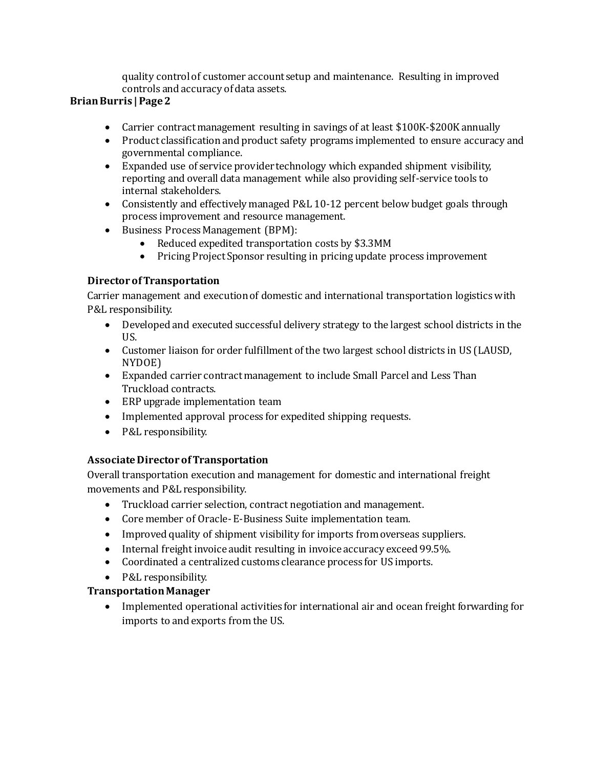quality control of customer account setup and maintenance. Resulting in improved controls and accuracy of data assets.

### **Brian Burris | Page 2**

- Carrier contract management resulting in savings of at least \$100K-\$200K annually
- Product classification and product safety programs implemented to ensure accuracy and governmental compliance.
- Expanded use of service provider technology which expanded shipment visibility, reporting and overall data management while also providing self-service tools to internal stakeholders.
- Consistently and effectively managed P&L 10-12 percent below budget goals through process improvement and resource management.
- Business Process Management (BPM):
	- Reduced expedited transportation costs by \$3.3MM
	- Pricing Project Sponsor resulting in pricing update process improvement

# **Director of Transportation**

Carrier management and execution of domestic and international transportation logistics with P&L responsibility.

- Developed and executed successful delivery strategy to the largest school districts in the US.
- Customer liaison for order fulfillment of the two largest school districts in US (LAUSD, NYDOE)
- Expanded carrier contract management to include Small Parcel and Less Than Truckload contracts.
- ERP upgrade implementation team
- Implemented approval process for expedited shipping requests.
- P&L responsibility.

### **Associate Director of Transportation**

Overall transportation execution and management for domestic and international freight movements and P&L responsibility.

- Truckload carrier selection, contract negotiation and management.
- Core member of Oracle-E-Business Suite implementation team.
- Improved quality of shipment visibility for imports from overseas suppliers.
- Internal freight invoice audit resulting in invoice accuracy exceed 99.5%.
- Coordinated a centralized customs clearance process for US imports.

# • P&L responsibility.

# **Transportation Manager**

• Implemented operational activities for international air and ocean freight forwarding for imports to and exports from the US.